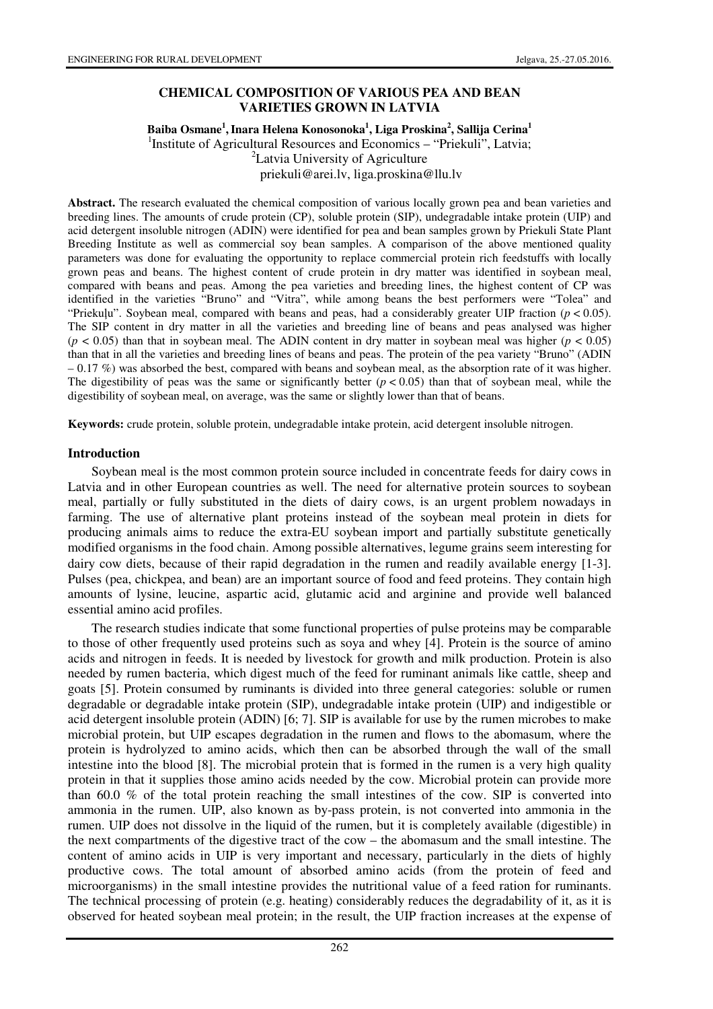#### **CHEMICAL COMPOSITION OF VARIOUS PEA AND BEAN VARIETIES GROWN IN LATVIA**

### **Baiba Osmane<sup>1</sup> ,Inara Helena Konosonoka<sup>1</sup> , Liga Proskina<sup>2</sup> , Sallija Cerina<sup>1</sup>** <sup>1</sup>Institute of Agricultural Resources and Economics - "Priekuli", Latvia; <sup>2</sup>Latvia University of Agriculture priekuli@arei.lv, liga.proskina@llu.lv

**Abstract.** The research evaluated the chemical composition of various locally grown pea and bean varieties and breeding lines. The amounts of crude protein (CP), soluble protein (SIP), undegradable intake protein (UIP) and acid detergent insoluble nitrogen (ADIN) were identified for pea and bean samples grown by Priekuli State Plant Breeding Institute as well as commercial soy bean samples. A comparison of the above mentioned quality parameters was done for evaluating the opportunity to replace commercial protein rich feedstuffs with locally grown peas and beans. The highest content of crude protein in dry matter was identified in soybean meal, compared with beans and peas. Among the pea varieties and breeding lines, the highest content of CP was identified in the varieties "Bruno" and "Vitra", while among beans the best performers were "Tolea" and "Priekuļu". Soybean meal, compared with beans and peas, had a considerably greater UIP fraction ( $p < 0.05$ ). The SIP content in dry matter in all the varieties and breeding line of beans and peas analysed was higher  $(p < 0.05)$  than that in soybean meal. The ADIN content in dry matter in soybean meal was higher  $(p < 0.05)$ than that in all the varieties and breeding lines of beans and peas. The protein of the pea variety "Bruno" (ADIN  $-0.17\%$ ) was absorbed the best, compared with beans and soybean meal, as the absorption rate of it was higher. The digestibility of peas was the same or significantly better  $(p < 0.05)$  than that of soybean meal, while the digestibility of soybean meal, on average, was the same or slightly lower than that of beans.

**Keywords:** crude protein, soluble protein, undegradable intake protein, acid detergent insoluble nitrogen.

#### **Introduction**

Soybean meal is the most common protein source included in concentrate feeds for dairy cows in Latvia and in other European countries as well. The need for alternative protein sources to soybean meal, partially or fully substituted in the diets of dairy cows, is an urgent problem nowadays in farming. The use of alternative plant proteins instead of the soybean meal protein in diets for producing animals aims to reduce the extra-EU soybean import and partially substitute genetically modified organisms in the food chain. Among possible alternatives, legume grains seem interesting for dairy cow diets, because of their rapid degradation in the rumen and readily available energy [1-3]. Pulses (pea, chickpea, and bean) are an important source of food and feed proteins. They contain high amounts of lysine, leucine, aspartic acid, glutamic acid and arginine and provide well balanced essential amino acid profiles.

The research studies indicate that some functional properties of pulse proteins may be comparable to those of other frequently used proteins such as soya and whey [4]. Protein is the source of amino acids and nitrogen in feeds. It is needed by livestock for growth and milk production. Protein is also needed by rumen bacteria, which digest much of the feed for ruminant animals like cattle, sheep and goats [5]. Protein consumed by ruminants is divided into three general categories: soluble or rumen degradable or degradable intake protein (SIP), undegradable intake protein (UIP) and indigestible or acid detergent insoluble protein (ADIN) [6; 7]. SIP is available for use by the rumen microbes to make microbial protein, but UIP escapes degradation in the rumen and flows to the abomasum, where the protein is hydrolyzed to amino acids, which then can be absorbed through the wall of the small intestine into the blood [8]. The microbial protein that is formed in the rumen is a very high quality protein in that it supplies those amino acids needed by the cow. Microbial protein can provide more than 60.0 % of the total protein reaching the small intestines of the cow. SIP is converted into ammonia in the rumen. UIP, also known as by-pass protein, is not converted into ammonia in the rumen. UIP does not dissolve in the liquid of the rumen, but it is completely available (digestible) in the next compartments of the digestive tract of the cow – the abomasum and the small intestine. The content of amino acids in UIP is very important and necessary, particularly in the diets of highly productive cows. The total amount of absorbed amino acids (from the protein of feed and microorganisms) in the small intestine provides the nutritional value of a feed ration for ruminants. The technical processing of protein (e.g. heating) considerably reduces the degradability of it, as it is observed for heated soybean meal protein; in the result, the UIP fraction increases at the expense of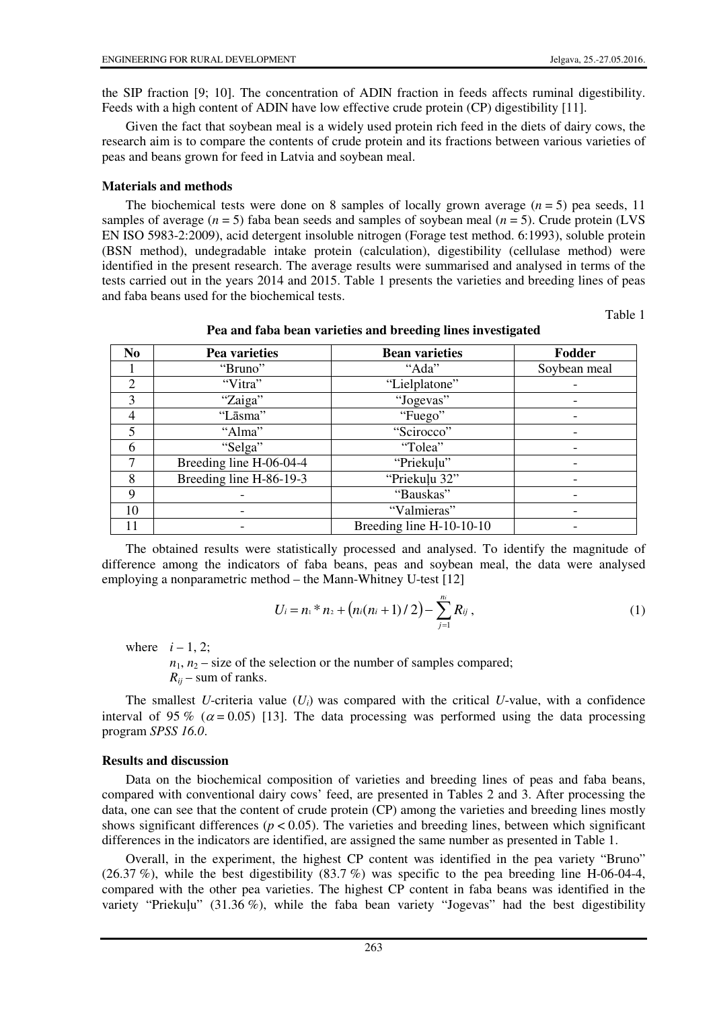the SIP fraction [9; 10]. The concentration of ADIN fraction in feeds affects ruminal digestibility. Feeds with a high content of ADIN have low effective crude protein (CP) digestibility [11].

Given the fact that soybean meal is a widely used protein rich feed in the diets of dairy cows, the research aim is to compare the contents of crude protein and its fractions between various varieties of peas and beans grown for feed in Latvia and soybean meal.

### **Materials and methods**

The biochemical tests were done on 8 samples of locally grown average  $(n = 5)$  pea seeds, 11 samples of average  $(n = 5)$  faba bean seeds and samples of soybean meal  $(n = 5)$ . Crude protein (LVS) EN ISO 5983-2:2009), acid detergent insoluble nitrogen (Forage test method. 6:1993), soluble protein (BSN method), undegradable intake protein (calculation), digestibility (cellulase method) were identified in the present research. The average results were summarised and analysed in terms of the tests carried out in the years 2014 and 2015. Table 1 presents the varieties and breeding lines of peas and faba beans used for the biochemical tests.

Table 1

| N <sub>0</sub> | Pea varieties           | <b>Bean varieties</b>    | Fodder       |
|----------------|-------------------------|--------------------------|--------------|
|                | "Bruno"                 | "Ada"                    | Soybean meal |
| $\overline{2}$ | "Vitra"                 | "Lielplatone"            |              |
| 3              | "Zaiga"                 | "Jogevas"                |              |
| 4              | "Lāsma"                 | "Fuego"                  |              |
| 5              | "Alma"                  | "Scirocco"               |              |
| 6              | "Selga"                 | "Tolea"                  |              |
| 7              | Breeding line H-06-04-4 | "Priekuļu"               |              |
| 8              | Breeding line H-86-19-3 | "Priekuļu 32"            |              |
| 9              |                         | "Bauskas"                |              |
| 10             |                         | "Valmieras"              |              |
|                |                         | Breeding line H-10-10-10 |              |

**Pea and faba bean varieties and breeding lines investigated** 

The obtained results were statistically processed and analysed. To identify the magnitude of difference among the indicators of faba beans, peas and soybean meal, the data were analysed employing a nonparametric method – the Mann-Whitney U-test [12]

$$
U_i = n_1 * n_2 + (n_i(n_i + 1)/2) - \sum_{j=1}^{n_i} R_{ij}, \qquad (1)
$$

where  $i-1, 2$ ;

 $n_1$ ,  $n_2$  – size of the selection or the number of samples compared;  $R_{ii}$  – sum of ranks.

The smallest *U*-criteria value  $(U_i)$  was compared with the critical *U*-value, with a confidence interval of 95 % ( $\alpha$  = 0.05) [13]. The data processing was performed using the data processing program *SPSS 16.0*.

### **Results and discussion**

Data on the biochemical composition of varieties and breeding lines of peas and faba beans, compared with conventional dairy cows' feed, are presented in Tables 2 and 3. After processing the data, one can see that the content of crude protein (CP) among the varieties and breeding lines mostly shows significant differences ( $p < 0.05$ ). The varieties and breeding lines, between which significant differences in the indicators are identified, are assigned the same number as presented in Table 1.

Overall, in the experiment, the highest CP content was identified in the pea variety "Bruno"  $(26.37\%)$ , while the best digestibility  $(83.7\%)$  was specific to the pea breeding line H-06-04-4, compared with the other pea varieties. The highest CP content in faba beans was identified in the variety "Priekuļu" (31.36 %), while the faba bean variety "Jogevas" had the best digestibility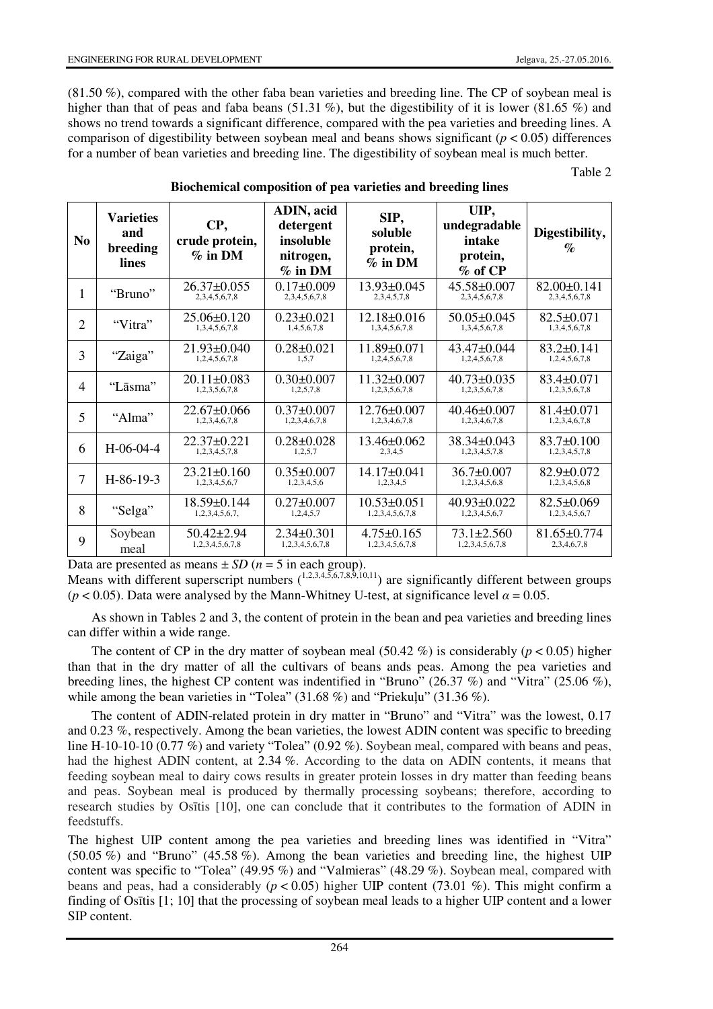(81.50 %), compared with the other faba bean varieties and breeding line. The CP of soybean meal is higher than that of peas and faba beans (51.31 %), but the digestibility of it is lower (81.65 %) and shows no trend towards a significant difference, compared with the pea varieties and breeding lines. A comparison of digestibility between soybean meal and beans shows significant ( $p < 0.05$ ) differences for a number of bean varieties and breeding line. The digestibility of soybean meal is much better.

Table 2

| N <sub>o</sub> | <b>Varieties</b><br>and<br>breeding<br>lines | CP,<br>crude protein,<br>$\%$ in DM | ADIN, acid<br>detergent<br>insoluble<br>nitrogen,<br>$%$ in DM | SIP,<br>soluble<br>protein,<br>$\%$ in DM | UIP,<br>undegradable<br>intake<br>protein,<br>$\%$ of CP | Digestibility,<br>$\%$             |
|----------------|----------------------------------------------|-------------------------------------|----------------------------------------------------------------|-------------------------------------------|----------------------------------------------------------|------------------------------------|
| 1              | "Bruno"                                      | $26.37 \pm 0.055$<br>2,3,4,5,6,7,8  | $0.17 \pm 0.009$<br>2,3,4,5,6,7,8                              | $13.93 \pm 0.045$<br>2,3,4,5,7,8          | $45.58 \pm 0.007$<br>2,3,4,5,6,7,8                       | $82.00 \pm 0.141$<br>2,3,4,5,6,7,8 |
| $\overline{2}$ | "Vitra"                                      | $25.06 \pm 0.120$<br>1,3,4,5,6,7,8  | $0.23 \pm 0.021$<br>1,4,5,6,7,8                                | $12.18 \pm 0.016$<br>1,3,4,5,6,7,8        | $50.05 \pm 0.045$<br>1,3,4,5,6,7,8                       | $82.5 \pm 0.071$<br>1,3,4,5,6,7,8  |
| 3              | "Zaiga"                                      | $21.93 \pm 0.040$<br>1,2,4,5,6,7,8  | $0.28 \pm 0.021$<br>1.5.7                                      | $11.89 \pm 0.071$<br>1,2,4,5,6,7,8        | $43.47 \pm 0.044$<br>1,2,4,5,6,7,8                       | $83.2 \pm 0.141$<br>1,2,4,5,6,7,8  |
| $\overline{4}$ | "Lāsma"                                      | $20.11 \pm 0.083$<br>1,2,3,5,6,7,8  | $0.30 \pm 0.007$<br>1,2,5,7,8                                  | $11.32 \pm 0.007$<br>1,2,3,5,6,7,8        | $40.73 \pm 0.035$<br>1,2,3,5,6,7,8                       | $83.4 \pm 0.071$<br>1,2,3,5,6,7,8  |
| 5              | "Alma"                                       | $22.67 \pm 0.066$<br>1,2,3,4,6,7,8  | $0.37 \pm 0.007$<br>1,2,3,4,6,7,8                              | $12.76 \pm 0.007$<br>1,2,3,4,6,7,8        | $40.46 \pm 0.007$<br>1,2,3,4,6,7,8                       | $81.4 \pm 0.071$<br>1,2,3,4,6,7,8  |
| 6              | $H-06-04-4$                                  | $22.37 \pm 0.221$<br>1,2,3,4,5,7,8  | $0.28 \pm 0.028$<br>1,2,5,7                                    | $13.46 \pm 0.062$<br>2,3,4,5              | $38.34 \pm 0.043$<br>1,2,3,4,5,7,8                       | 83.7±0.100<br>1,2,3,4,5,7,8        |
| 7              | $H-86-19-3$                                  | $23.21 \pm 0.160$<br>1,2,3,4,5,6,7  | $0.35 \pm 0.007$<br>1,2,3,4,5,6                                | $14.17\pm0.041$<br>1,2,3,4,5              | $36.7 \pm 0.007$<br>1,2,3,4,5,6,8                        | $82.9 \pm 0.072$<br>1,2,3,4,5,6,8  |
| 8              | "Selga"                                      | $18.59 \pm 0.144$<br>1,2,3,4,5,6,7, | $0.27 \pm 0.007$<br>1,2,4,5,7                                  | $10.53 \pm 0.051$<br>1,2,3,4,5,6,7,8      | $40.93 \pm 0.022$<br>1,2,3,4,5,6,7                       | $82.5 \pm 0.069$<br>1,2,3,4,5,6,7  |
| 9              | Soybean<br>meal                              | $50.42 \pm 2.94$<br>1,2,3,4,5,6,7,8 | $2.34 \pm 0.301$<br>1,2,3,4,5,6,7,8                            | $4.75 \pm 0.165$<br>1,2,3,4,5,6,7,8       | $73.1 \pm 2.560$<br>1,2,3,4,5,6,7,8                      | $81.65 \pm 0.774$<br>2,3,4,6,7,8   |

### **Biochemical composition of pea varieties and breeding lines**

Data are presented as means  $\pm SD$  ( $n = 5$  in each group).

Means with different superscript numbers  $(1,2,3,4,5,6,7,8,9,10,11)$  are significantly different between groups ( $p < 0.05$ ). Data were analysed by the Mann-Whitney U-test, at significance level  $\alpha = 0.05$ .

As shown in Tables 2 and 3, the content of protein in the bean and pea varieties and breeding lines can differ within a wide range.

The content of CP in the dry matter of soybean meal (50.42 %) is considerably ( $p < 0.05$ ) higher than that in the dry matter of all the cultivars of beans ands peas. Among the pea varieties and breeding lines, the highest CP content was indentified in "Bruno" (26.37 %) and "Vitra" (25.06 %), while among the bean varieties in "Tolea" (31.68 %) and "Priekuļu" (31.36 %).

The content of ADIN-related protein in dry matter in "Bruno" and "Vitra" was the lowest, 0.17 and 0.23 %, respectively. Among the bean varieties, the lowest ADIN content was specific to breeding line H-10-10-10 (0.77 %) and variety "Tolea" (0.92 %). Soybean meal, compared with beans and peas, had the highest ADIN content, at 2.34 %. According to the data on ADIN contents, it means that feeding soybean meal to dairy cows results in greater protein losses in dry matter than feeding beans and peas. Soybean meal is produced by thermally processing soybeans; therefore, according to research studies by Osītis [10], one can conclude that it contributes to the formation of ADIN in feedstuffs.

The highest UIP content among the pea varieties and breeding lines was identified in "Vitra" (50.05 %) and "Bruno" (45.58 %). Among the bean varieties and breeding line, the highest UIP content was specific to "Tolea" (49.95 %) and "Valmieras" (48.29 %). Soybean meal, compared with beans and peas, had a considerably ( $p < 0.05$ ) higher UIP content (73.01 %). This might confirm a finding of Osītis [1; 10] that the processing of soybean meal leads to a higher UIP content and a lower SIP content.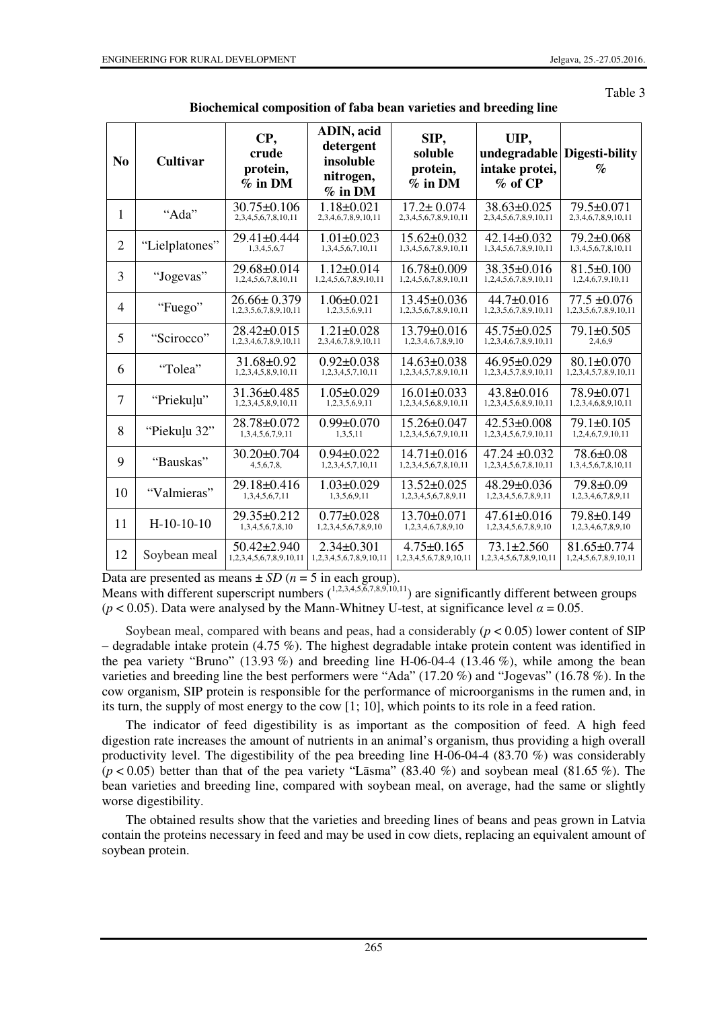Table 3

| N <sub>0</sub> | <b>Cultivar</b> | CP,<br>crude<br>protein,<br>$%$ in DM            | <b>ADIN</b> , acid<br>detergent<br>insoluble<br>nitrogen,<br>$%$ in DM | SIP,<br>soluble<br>protein,<br>$%$ in DM    | UIP,<br>undegradable<br>intake protei,<br>$\%$ of CP | Digesti-bility<br>$\%$                     |
|----------------|-----------------|--------------------------------------------------|------------------------------------------------------------------------|---------------------------------------------|------------------------------------------------------|--------------------------------------------|
| 1              | "Ada"           | $30.75 \pm 0.106$<br>2, 3, 4, 5, 6, 7, 8, 10, 11 | $1.18 \pm 0.021$<br>2,3,4,6,7,8,9,10,11                                | $17.2 \pm 0.074$<br>2,3,4,5,6,7,8,9,10,11   | 38.63±0.025<br>2, 3, 4, 5, 6, 7, 8, 9, 10, 11        | 79.5±0.071<br>2,3,4,6,7,8,9,10,11          |
| $\overline{2}$ | "Lielplatones"  | $29.41 \pm 0.444$<br>1,3,4,5,6,7                 | $1.01 \pm 0.023$<br>1,3,4,5,6,7,10,11                                  | $15.62 \pm 0.032$<br>1,3,4,5,6,7,8,9,10,11  | $42.14 \pm 0.032$<br>1,3,4,5,6,7,8,9,10,11           | $79.2 \pm 0.068$<br>1,3,4,5,6,7,8,10,11    |
| 3              | "Jogevas"       | 29.68±0.014<br>1,2,4,5,6,7,8,10,11               | $1.12 + 0.014$<br>1,2,4,5,6,7,8,9,10,11                                | $16.78 \pm 0.009$<br>1,2,4,5,6,7,8,9,10,11  | $38.35\pm0.016$<br>1,2,4,5,6,7,8,9,10,11             | $81.5 \pm 0.100$<br>1,2,4,6,7,9,10,11      |
| $\overline{4}$ | "Fuego"         | $26.66 \pm 0.379$<br>1,2,3,5,6,7,8,9,10,11       | $1.06 \pm 0.021$<br>1,2,3,5,6,9,11                                     | $13.45 \pm 0.036$<br>1,2,3,5,6,7,8,9,10,11  | 44.7±0.016<br>1,2,3,5,6,7,8,9,10,11                  | $77.5 \pm 0.076$<br>1,2,3,5,6,7,8,9,10,11  |
| 5              | "Scirocco"      | $28.42 \pm 0.015$<br>1,2,3,4,6,7,8,9,10,11       | $1.21 \pm 0.028$<br>2,3,4,6,7,8,9,10,11                                | $13.79 \pm 0.016$<br>1,2,3,4,6,7,8,9,10     | $45.75 \pm 0.025$<br>1,2,3,4,6,7,8,9,10,11           | 79.1±0.505<br>2,4,6,9                      |
| 6              | "Tolea"         | $31.68 \pm 0.92$<br>1,2,3,4,5,8,9,10,11          | $0.92 \pm 0.038$<br>1,2,3,4,5,7,10,11                                  | $14.63 \pm 0.038$<br>1,2,3,4,5,7,8,9,10,11  | $46.95 \pm 0.029$<br>1,2,3,4,5,7,8,9,10,11           | $80.1 + 0.070$<br>1,2,3,4,5,7,8,9,10,11    |
| $\overline{7}$ | "Priekuļu"      | $31.36 \pm 0.485$<br>1,2,3,4,5,8,9,10,11         | $1.05 \pm 0.029$<br>1,2,3,5,6,9,11                                     | $16.01 \pm 0.033$<br>1,2,3,4,5,6,8,9,10,11  | $43.8 \pm 0.016$<br>1,2,3,4,5,6,8,9,10,11            | 78.9±0.071<br>1,2,3,4,6,8,9,10,11          |
| 8              | "Piekuļu 32"    | $28.78 \pm 0.072$<br>1,3,4,5,6,7,9,11            | $0.99 \pm 0.070$<br>1,3,5,11                                           | $15.26 \pm 0.047$<br>1,2,3,4,5,6,7,9,10,11  | $42.53 \pm 0.008$<br>1,2,3,4,5,6,7,9,10,11           | 79.1±0.105<br>1,2,4,6,7,9,10,11            |
| 9              | "Bauskas"       | $30.20 \pm 0.704$<br>4,5,6,7,8,                  | $0.94 \pm 0.022$<br>1,2,3,4,5,7,10,11                                  | $14.71 \pm 0.016$<br>1,2,3,4,5,6,7,8,10,11  | $47.24 \pm 0.032$<br>1,2,3,4,5,6,7,8,10,11           | 78.6±0.08<br>1,3,4,5,6,7,8,10,11           |
| 10             | "Valmieras"     | $29.18 \pm 0.416$<br>1,3,4,5,6,7,11              | $1.03 \pm 0.029$<br>1,3,5,6,9,11                                       | $13.52 \pm 0.025$<br>1,2,3,4,5,6,7,8,9,11   | $48.29 \pm 0.036$<br>1,2,3,4,5,6,7,8,9,11            | $79.8 \pm 0.09$<br>1,2,3,4,6,7,8,9,11      |
| 11             | $H-10-10-10$    | $29.35\pm0.212$<br>1,3,4,5,6,7,8,10              | $0.77 \pm 0.028$<br>1,2,3,4,5,6,7,8,9,10                               | $13.70 \pm 0.071$<br>1,2,3,4,6,7,8,9,10     | $47.61 \pm 0.016$<br>1,2,3,4,5,6,7,8,9,10            | 79.8±0.149<br>1,2,3,4,6,7,8,9,10           |
| 12             | Soybean meal    | $50.42 \pm 2.940$<br>1,2,3,4,5,6,7,8,9,10,11     | $2.34 \pm 0.301$<br>1,2,3,4,5,6,7,8,9,10,11                            | $4.75 \pm 0.165$<br>1,2,3,4,5,6,7,8,9,10,11 | $73.1 \pm 2.560$<br>1,2,3,4,5,6,7,8,9,10,11          | $81.65 \pm 0.774$<br>1,2,4,5,6,7,8,9,10,11 |

|  |  |  |  | Biochemical composition of faba bean varieties and breeding line |
|--|--|--|--|------------------------------------------------------------------|
|--|--|--|--|------------------------------------------------------------------|

Data are presented as means  $\pm SD$  ( $n = 5$  in each group).

Means with different superscript numbers  $(1,2,3,4,5,6,7,8,9,10,11)$  are significantly different between groups ( $p < 0.05$ ). Data were analysed by the Mann-Whitney U-test, at significance level  $\alpha = 0.05$ .

Soybean meal, compared with beans and peas, had a considerably  $(p < 0.05)$  lower content of SIP – degradable intake protein (4.75 %). The highest degradable intake protein content was identified in the pea variety "Bruno" (13.93 %) and breeding line H-06-04-4 (13.46 %), while among the bean varieties and breeding line the best performers were "Ada" (17.20 %) and "Jogevas" (16.78 %). In the cow organism, SIP protein is responsible for the performance of microorganisms in the rumen and, in its turn, the supply of most energy to the cow [1; 10], which points to its role in a feed ration.

The indicator of feed digestibility is as important as the composition of feed. A high feed digestion rate increases the amount of nutrients in an animal's organism, thus providing a high overall productivity level. The digestibility of the pea breeding line H-06-04-4 (83.70 %) was considerably  $(p < 0.05)$  better than that of the pea variety "Lāsma" (83.40 %) and soybean meal (81.65 %). The bean varieties and breeding line, compared with soybean meal, on average, had the same or slightly worse digestibility.

The obtained results show that the varieties and breeding lines of beans and peas grown in Latvia contain the proteins necessary in feed and may be used in cow diets, replacing an equivalent amount of soybean protein.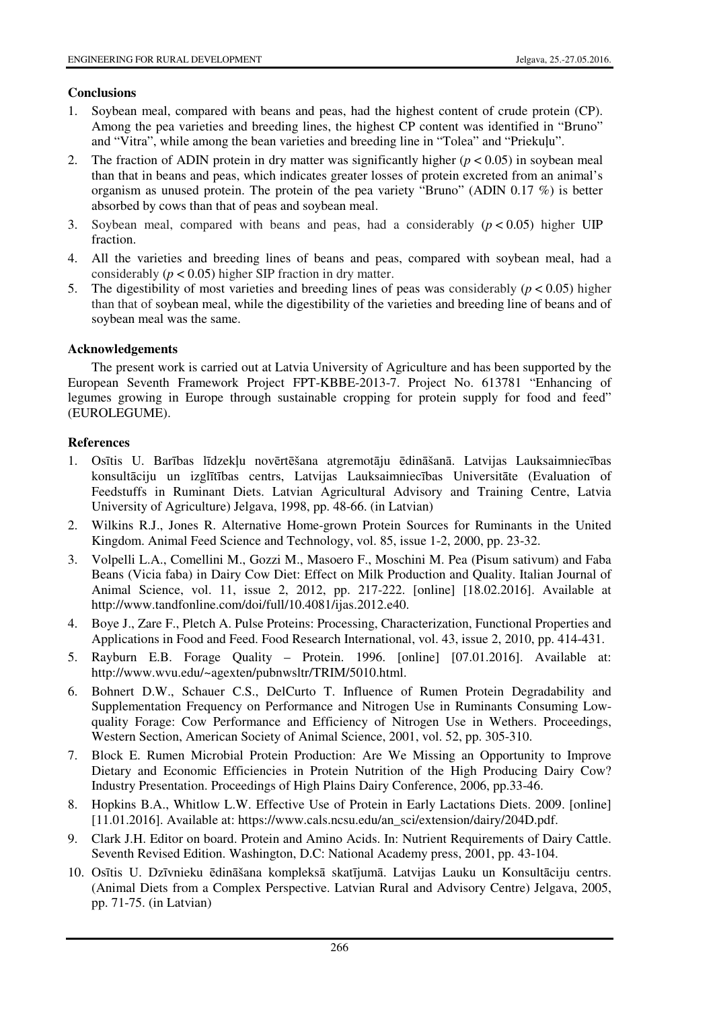# **Conclusions**

- 1. Soybean meal, compared with beans and peas, had the highest content of crude protein (CP). Among the pea varieties and breeding lines, the highest CP content was identified in "Bruno" and "Vitra", while among the bean varieties and breeding line in "Tolea" and "Priekuļu".
- 2. The fraction of ADIN protein in dry matter was significantly higher  $(p < 0.05)$  in soybean meal than that in beans and peas, which indicates greater losses of protein excreted from an animal's organism as unused protein. The protein of the pea variety "Bruno" (ADIN 0.17 %) is better absorbed by cows than that of peas and soybean meal.
- 3. Soybean meal, compared with beans and peas, had a considerably  $(p < 0.05)$  higher UIP fraction.
- 4. All the varieties and breeding lines of beans and peas, compared with soybean meal, had a considerably ( $p < 0.05$ ) higher SIP fraction in dry matter.
- 5. The digestibility of most varieties and breeding lines of peas was considerably (*p* < 0.05) higher than that of soybean meal, while the digestibility of the varieties and breeding line of beans and of soybean meal was the same.

# **Acknowledgements**

The present work is carried out at Latvia University of Agriculture and has been supported by the European Seventh Framework Project FPT-KBBE-2013-7. Project No. 613781 "Enhancing of legumes growing in Europe through sustainable cropping for protein supply for food and feed" (EUROLEGUME).

# **References**

- 1. Osītis U. Barības līdzekļu novērtēšana atgremotāju ēdināšanā. Latvijas Lauksaimniecības konsultāciju un izglītības centrs, Latvijas Lauksaimniecības Universitāte (Evaluation of Feedstuffs in Ruminant Diets. Latvian Agricultural Advisory and Training Centre, Latvia University of Agriculture) Jelgava, 1998, pp. 48-66. (in Latvian)
- 2. Wilkins R.J., Jones R. Alternative Home-grown Protein Sources for Ruminants in the United Kingdom. Animal Feed Science and Technology, vol. 85, issue 1-2, 2000, pp. 23-32.
- 3. Volpelli L.A., Comellini M., Gozzi M., Masoero F., Moschini M. Pea (Pisum sativum) and Faba Beans (Vicia faba) in Dairy Cow Diet: Effect on Milk Production and Quality. Italian Journal of Animal Science, vol. 11, issue 2, 2012, pp. 217-222. [online] [18.02.2016]. Available at http://www.tandfonline.com/doi/full/10.4081/ijas.2012.e40.
- 4. Boye J., Zare F., Pletch A. Pulse Proteins: Processing, Characterization, Functional Properties and Applications in Food and Feed. Food Research International, vol. 43, issue 2, 2010, pp. 414-431.
- 5. Rayburn E.B. Forage Quality Protein. 1996. [online] [07.01.2016]. Available at: http://www.wvu.edu/~agexten/pubnwsltr/TRIM/5010.html.
- 6. Bohnert D.W., Schauer C.S., DelCurto T. Influence of Rumen Protein Degradability and Supplementation Frequency on Performance and Nitrogen Use in Ruminants Consuming Lowquality Forage: Cow Performance and Efficiency of Nitrogen Use in Wethers. Proceedings, Western Section, American Society of Animal Science, 2001, vol. 52, pp. 305-310.
- 7. Block E. Rumen Microbial Protein Production: Are We Missing an Opportunity to Improve Dietary and Economic Efficiencies in Protein Nutrition of the High Producing Dairy Cow? Industry Presentation. Proceedings of High Plains Dairy Conference, 2006, pp.33-46.
- 8. Hopkins B.A., Whitlow L.W. Effective Use of Protein in Early Lactations Diets. 2009. [online] [11.01.2016]. Available at: https://www.cals.ncsu.edu/an\_sci/extension/dairy/204D.pdf.
- 9. Clark J.H. Editor on board. Protein and Amino Acids. In: Nutrient Requirements of Dairy Cattle. Seventh Revised Edition. Washington, D.C: National Academy press, 2001, pp. 43-104.
- 10. Osītis U. Dzīvnieku ēdināšana kompleksā skatījumā. Latvijas Lauku un Konsultāciju centrs. (Animal Diets from a Complex Perspective. Latvian Rural and Advisory Centre) Jelgava, 2005, pp. 71-75. (in Latvian)